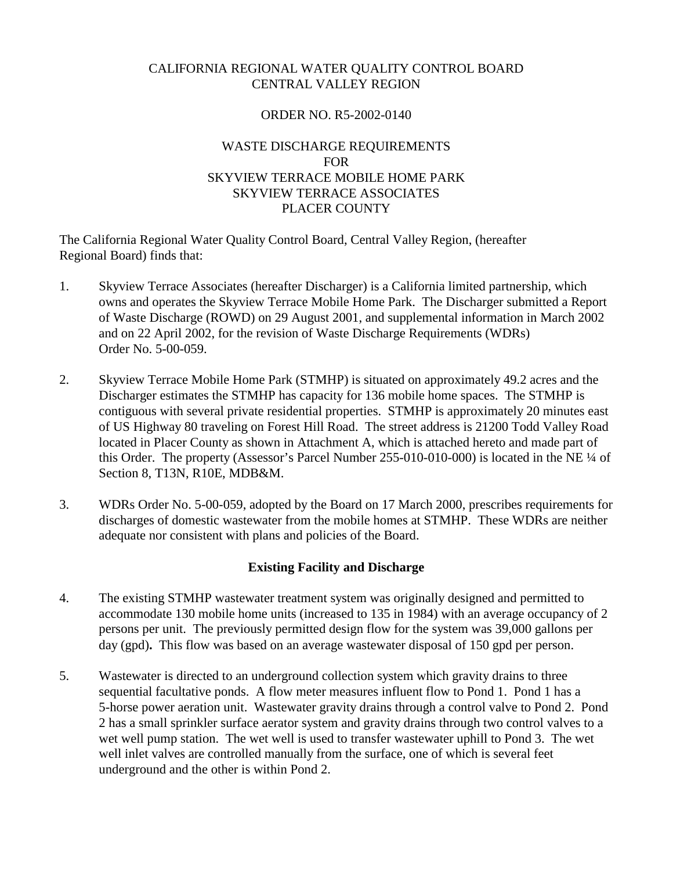## CALIFORNIA REGIONAL WATER QUALITY CONTROL BOARD CENTRAL VALLEY REGION

#### ORDER NO. R5-2002-0140

## WASTE DISCHARGE REQUIREMENTS FOR SKYVIEW TERRACE MOBILE HOME PARK SKYVIEW TERRACE ASSOCIATES PLACER COUNTY

The California Regional Water Quality Control Board, Central Valley Region, (hereafter Regional Board) finds that:

- 1. Skyview Terrace Associates (hereafter Discharger) is a California limited partnership, which owns and operates the Skyview Terrace Mobile Home Park. The Discharger submitted a Report of Waste Discharge (ROWD) on 29 August 2001, and supplemental information in March 2002 and on 22 April 2002, for the revision of Waste Discharge Requirements (WDRs) Order No. 5-00-059.
- 2. Skyview Terrace Mobile Home Park (STMHP) is situated on approximately 49.2 acres and the Discharger estimates the STMHP has capacity for 136 mobile home spaces. The STMHP is contiguous with several private residential properties. STMHP is approximately 20 minutes east of US Highway 80 traveling on Forest Hill Road. The street address is 21200 Todd Valley Road located in Placer County as shown in Attachment A, which is attached hereto and made part of this Order. The property (Assessor's Parcel Number 255-010-010-000) is located in the NE ¼ of Section 8, T13N, R10E, MDB&M.
- 3. WDRs Order No. 5-00-059, adopted by the Board on 17 March 2000, prescribes requirements for discharges of domestic wastewater from the mobile homes at STMHP. These WDRs are neither adequate nor consistent with plans and policies of the Board.

## **Existing Facility and Discharge**

- 4. The existing STMHP wastewater treatment system was originally designed and permitted to accommodate 130 mobile home units (increased to 135 in 1984) with an average occupancy of 2 persons per unit. The previously permitted design flow for the system was 39,000 gallons per day (gpd)**.** This flow was based on an average wastewater disposal of 150 gpd per person.
- 5. Wastewater is directed to an underground collection system which gravity drains to three sequential facultative ponds. A flow meter measures influent flow to Pond 1. Pond 1 has a 5-horse power aeration unit. Wastewater gravity drains through a control valve to Pond 2. Pond 2 has a small sprinkler surface aerator system and gravity drains through two control valves to a wet well pump station. The wet well is used to transfer wastewater uphill to Pond 3. The wet well inlet valves are controlled manually from the surface, one of which is several feet underground and the other is within Pond 2.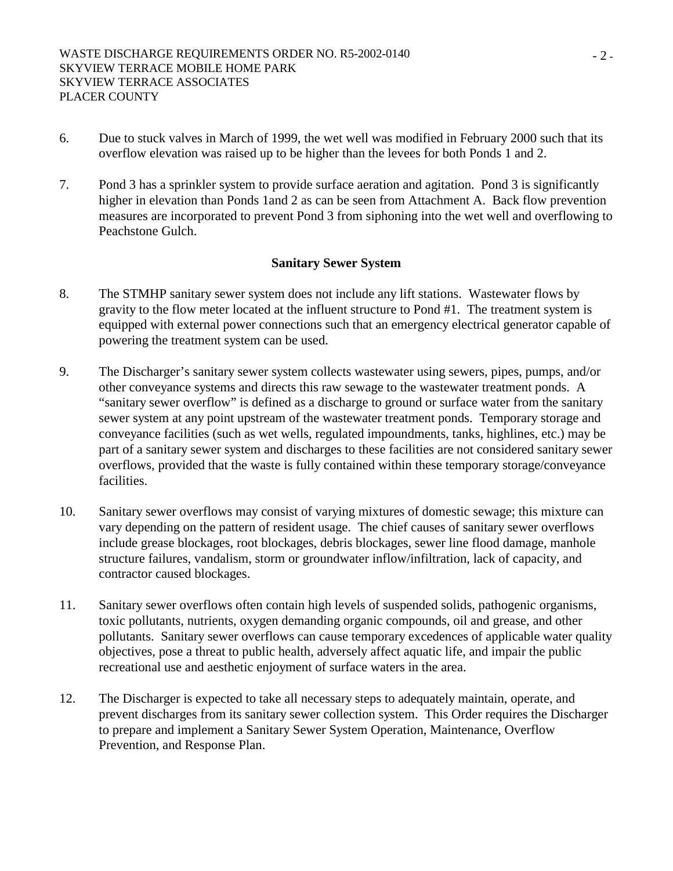- 6. Due to stuck valves in March of 1999, the wet well was modified in February 2000 such that its overflow elevation was raised up to be higher than the levees for both Ponds 1 and 2.
- 7. Pond 3 has a sprinkler system to provide surface aeration and agitation. Pond 3 is significantly higher in elevation than Ponds 1and 2 as can be seen from Attachment A. Back flow prevention measures are incorporated to prevent Pond 3 from siphoning into the wet well and overflowing to Peachstone Gulch.

#### **Sanitary Sewer System**

- 8. The STMHP sanitary sewer system does not include any lift stations. Wastewater flows by gravity to the flow meter located at the influent structure to Pond #1. The treatment system is equipped with external power connections such that an emergency electrical generator capable of powering the treatment system can be used.
- 9. The Discharger's sanitary sewer system collects wastewater using sewers, pipes, pumps, and/or other conveyance systems and directs this raw sewage to the wastewater treatment ponds. A "sanitary sewer overflow" is defined as a discharge to ground or surface water from the sanitary sewer system at any point upstream of the wastewater treatment ponds. Temporary storage and conveyance facilities (such as wet wells, regulated impoundments, tanks, highlines, etc.) may be part of a sanitary sewer system and discharges to these facilities are not considered sanitary sewer overflows, provided that the waste is fully contained within these temporary storage/conveyance facilities.
- 10. Sanitary sewer overflows may consist of varying mixtures of domestic sewage; this mixture can vary depending on the pattern of resident usage. The chief causes of sanitary sewer overflows include grease blockages, root blockages, debris blockages, sewer line flood damage, manhole structure failures, vandalism, storm or groundwater inflow/infiltration, lack of capacity, and contractor caused blockages.
- 11. Sanitary sewer overflows often contain high levels of suspended solids, pathogenic organisms, toxic pollutants, nutrients, oxygen demanding organic compounds, oil and grease, and other pollutants. Sanitary sewer overflows can cause temporary excedences of applicable water quality objectives, pose a threat to public health, adversely affect aquatic life, and impair the public recreational use and aesthetic enjoyment of surface waters in the area.
- 12. The Discharger is expected to take all necessary steps to adequately maintain, operate, and prevent discharges from its sanitary sewer collection system. This Order requires the Discharger to prepare and implement a Sanitary Sewer System Operation, Maintenance, Overflow Prevention, and Response Plan.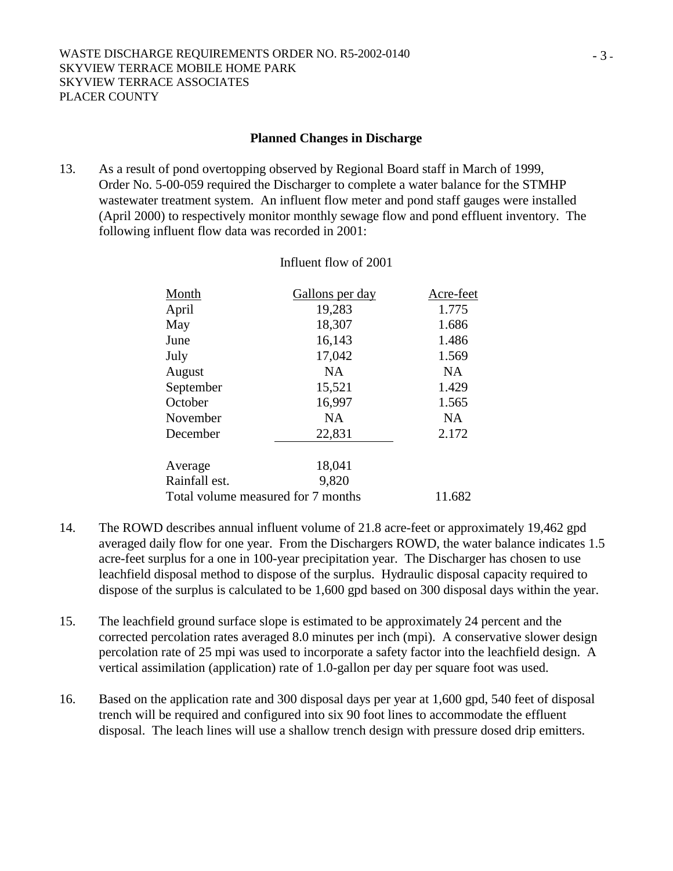#### **Planned Changes in Discharge**

13. As a result of pond overtopping observed by Regional Board staff in March of 1999, Order No. 5-00-059 required the Discharger to complete a water balance for the STMHP wastewater treatment system. An influent flow meter and pond staff gauges were installed (April 2000) to respectively monitor monthly sewage flow and pond effluent inventory. The following influent flow data was recorded in 2001:

| Month         | Gallons per day                    | Acre-feet |
|---------------|------------------------------------|-----------|
| April         | 19,283                             | 1.775     |
| May           | 18,307                             | 1.686     |
| June          | 16,143                             | 1.486     |
| July          | 17,042                             | 1.569     |
| August        | NA                                 | NA.       |
| September     | 15,521                             | 1.429     |
| October       | 16,997                             | 1.565     |
| November      | NA                                 | <b>NA</b> |
| December      | 22,831                             | 2.172     |
| Average       | 18,041                             |           |
| Rainfall est. | 9,820                              |           |
|               | Total volume measured for 7 months | 11.682    |

#### Influent flow of 2001

- 14. The ROWD describes annual influent volume of 21.8 acre-feet or approximately 19,462 gpd averaged daily flow for one year. From the Dischargers ROWD, the water balance indicates 1.5 acre-feet surplus for a one in 100-year precipitation year. The Discharger has chosen to use leachfield disposal method to dispose of the surplus. Hydraulic disposal capacity required to dispose of the surplus is calculated to be 1,600 gpd based on 300 disposal days within the year.
- 15. The leachfield ground surface slope is estimated to be approximately 24 percent and the corrected percolation rates averaged 8.0 minutes per inch (mpi). A conservative slower design percolation rate of 25 mpi was used to incorporate a safety factor into the leachfield design. A vertical assimilation (application) rate of 1.0-gallon per day per square foot was used.
- 16. Based on the application rate and 300 disposal days per year at 1,600 gpd, 540 feet of disposal trench will be required and configured into six 90 foot lines to accommodate the effluent disposal. The leach lines will use a shallow trench design with pressure dosed drip emitters.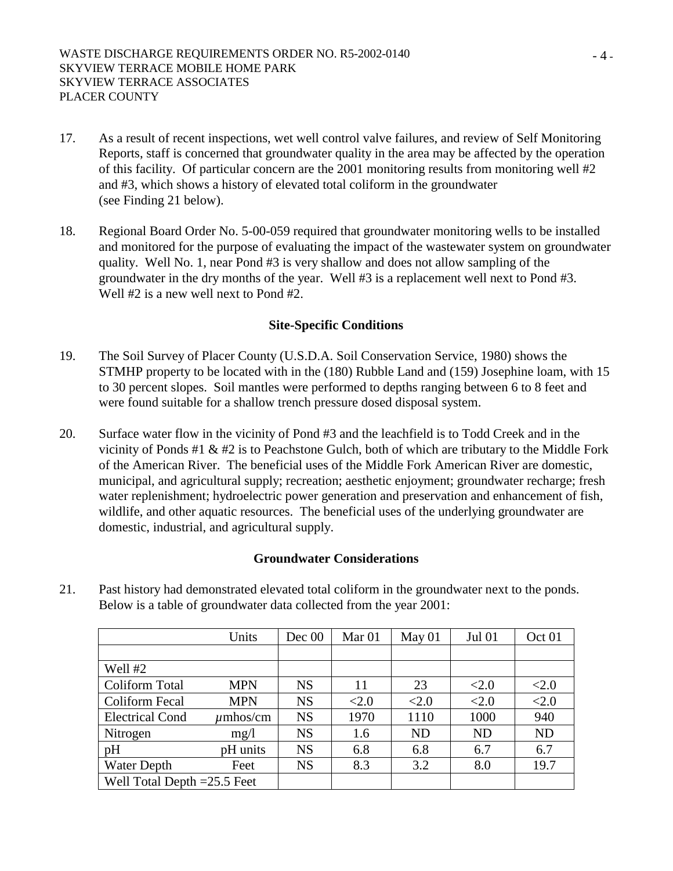- 17. As a result of recent inspections, wet well control valve failures, and review of Self Monitoring Reports, staff is concerned that groundwater quality in the area may be affected by the operation of this facility. Of particular concern are the 2001 monitoring results from monitoring well #2 and #3, which shows a history of elevated total coliform in the groundwater (see Finding 21 below).
- 18. Regional Board Order No. 5-00-059 required that groundwater monitoring wells to be installed and monitored for the purpose of evaluating the impact of the wastewater system on groundwater quality. Well No. 1, near Pond #3 is very shallow and does not allow sampling of the groundwater in the dry months of the year. Well #3 is a replacement well next to Pond #3. Well #2 is a new well next to Pond #2.

#### **Site-Specific Conditions**

- 19. The Soil Survey of Placer County (U.S.D.A. Soil Conservation Service, 1980) shows the STMHP property to be located with in the (180) Rubble Land and (159) Josephine loam, with 15 to 30 percent slopes. Soil mantles were performed to depths ranging between 6 to 8 feet and were found suitable for a shallow trench pressure dosed disposal system.
- 20. Surface water flow in the vicinity of Pond #3 and the leachfield is to Todd Creek and in the vicinity of Ponds #1 & #2 is to Peachstone Gulch, both of which are tributary to the Middle Fork of the American River. The beneficial uses of the Middle Fork American River are domestic, municipal, and agricultural supply; recreation; aesthetic enjoyment; groundwater recharge; fresh water replenishment; hydroelectric power generation and preservation and enhancement of fish, wildlife, and other aquatic resources. The beneficial uses of the underlying groundwater are domestic, industrial, and agricultural supply.

#### **Groundwater Considerations**

21. Past history had demonstrated elevated total coliform in the groundwater next to the ponds. Below is a table of groundwater data collected from the year 2001:

|                               | Units         | Dec 00    | Mar <sub>01</sub> | May 01    | <b>Jul 01</b> | Oct <sub>01</sub> |
|-------------------------------|---------------|-----------|-------------------|-----------|---------------|-------------------|
|                               |               |           |                   |           |               |                   |
| Well #2                       |               |           |                   |           |               |                   |
| Coliform Total                | <b>MPN</b>    | <b>NS</b> | 11                | 23        | <2.0          | <2.0              |
| Coliform Fecal                | <b>MPN</b>    | <b>NS</b> | <2.0              | < 2.0     | <2.0          | <2.0              |
| <b>Electrical Cond</b>        | $\mu$ mhos/cm | <b>NS</b> | 1970              | 1110      | 1000          | 940               |
| Nitrogen                      | mg/1          | <b>NS</b> | 1.6               | <b>ND</b> | <b>ND</b>     | <b>ND</b>         |
| pH                            | pH units      | <b>NS</b> | 6.8               | 6.8       | 6.7           | 6.7               |
| Water Depth                   | Feet          | <b>NS</b> | 8.3               | 3.2       | 8.0           | 19.7              |
| Well Total Depth $=25.5$ Feet |               |           |                   |           |               |                   |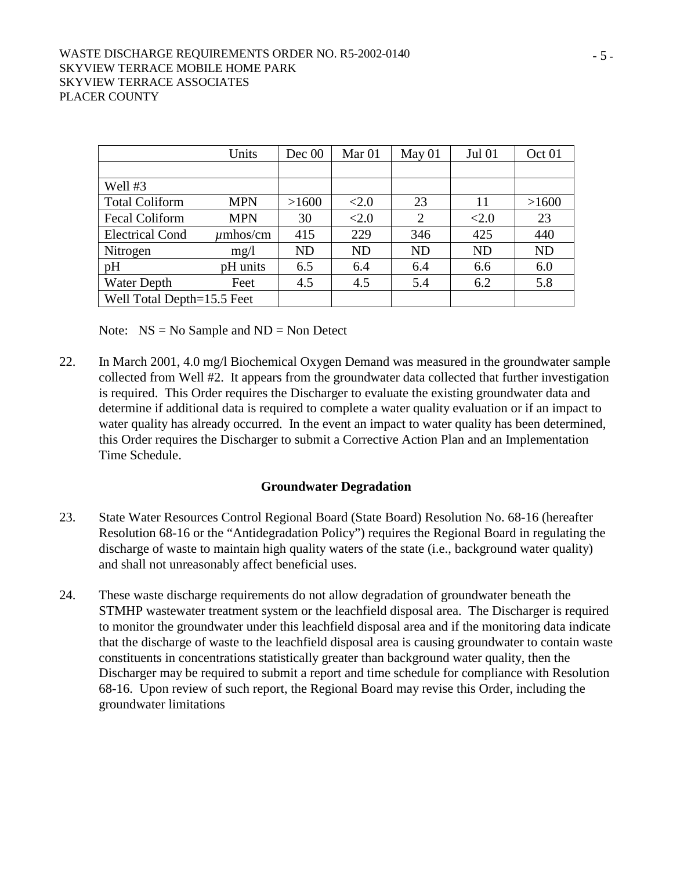#### WASTE DISCHARGE REQUIREMENTS ORDER NO. R5-2002-0140 SKYVIEW TERRACE MOBILE HOME PARK SKYVIEW TERRACE ASSOCIATES PLACER COUNTY

|                            | Units         | Dec 00    | Mar <sub>01</sub> | May 01    | <b>Jul 01</b> | Oct <sub>01</sub> |
|----------------------------|---------------|-----------|-------------------|-----------|---------------|-------------------|
|                            |               |           |                   |           |               |                   |
| Well #3                    |               |           |                   |           |               |                   |
| <b>Total Coliform</b>      | <b>MPN</b>    | >1600     | <2.0              | 23        | 11            | >1600             |
| <b>Fecal Coliform</b>      | <b>MPN</b>    | 30        | <2.0              | 2         | <2.0          | 23                |
| <b>Electrical Cond</b>     | $\mu$ mhos/cm | 415       | 229               | 346       | 425           | 440               |
| Nitrogen                   | mg/1          | <b>ND</b> | <b>ND</b>         | <b>ND</b> | <b>ND</b>     | <b>ND</b>         |
| pH                         | pH units      | 6.5       | 6.4               | 6.4       | 6.6           | 6.0               |
| <b>Water Depth</b>         | Feet          | 4.5       | 4.5               | 5.4       | 6.2           | 5.8               |
| Well Total Depth=15.5 Feet |               |           |                   |           |               |                   |

Note:  $NS = No$  Sample and  $ND = Non$  Detect

22. In March 2001, 4.0 mg/l Biochemical Oxygen Demand was measured in the groundwater sample collected from Well #2. It appears from the groundwater data collected that further investigation is required. This Order requires the Discharger to evaluate the existing groundwater data and determine if additional data is required to complete a water quality evaluation or if an impact to water quality has already occurred. In the event an impact to water quality has been determined, this Order requires the Discharger to submit a Corrective Action Plan and an Implementation Time Schedule.

#### **Groundwater Degradation**

- 23. State Water Resources Control Regional Board (State Board) Resolution No. 68-16 (hereafter Resolution 68-16 or the "Antidegradation Policy") requires the Regional Board in regulating the discharge of waste to maintain high quality waters of the state (i.e., background water quality) and shall not unreasonably affect beneficial uses.
- 24. These waste discharge requirements do not allow degradation of groundwater beneath the STMHP wastewater treatment system or the leachfield disposal area. The Discharger is required to monitor the groundwater under this leachfield disposal area and if the monitoring data indicate that the discharge of waste to the leachfield disposal area is causing groundwater to contain waste constituents in concentrations statistically greater than background water quality, then the Discharger may be required to submit a report and time schedule for compliance with Resolution 68-16. Upon review of such report, the Regional Board may revise this Order, including the groundwater limitations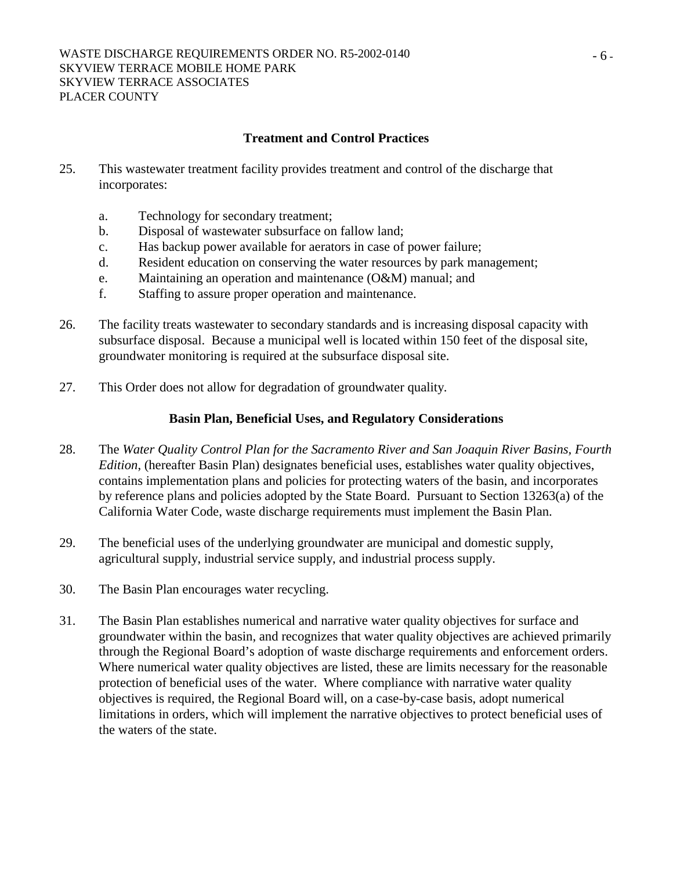#### **Treatment and Control Practices**

- 25. This wastewater treatment facility provides treatment and control of the discharge that incorporates:
	- a. Technology for secondary treatment;
	- b. Disposal of wastewater subsurface on fallow land;
	- c. Has backup power available for aerators in case of power failure;
	- d. Resident education on conserving the water resources by park management;
	- e. Maintaining an operation and maintenance (O&M) manual; and
	- f. Staffing to assure proper operation and maintenance.
- 26. The facility treats wastewater to secondary standards and is increasing disposal capacity with subsurface disposal. Because a municipal well is located within 150 feet of the disposal site, groundwater monitoring is required at the subsurface disposal site.
- 27. This Order does not allow for degradation of groundwater quality.

#### **Basin Plan, Beneficial Uses, and Regulatory Considerations**

- 28. The *Water Quality Control Plan for the Sacramento River and San Joaquin River Basins, Fourth Edition*, (hereafter Basin Plan) designates beneficial uses, establishes water quality objectives, contains implementation plans and policies for protecting waters of the basin, and incorporates by reference plans and policies adopted by the State Board. Pursuant to Section 13263(a) of the California Water Code, waste discharge requirements must implement the Basin Plan.
- 29. The beneficial uses of the underlying groundwater are municipal and domestic supply, agricultural supply, industrial service supply, and industrial process supply.
- 30. The Basin Plan encourages water recycling.
- 31. The Basin Plan establishes numerical and narrative water quality objectives for surface and groundwater within the basin, and recognizes that water quality objectives are achieved primarily through the Regional Board's adoption of waste discharge requirements and enforcement orders. Where numerical water quality objectives are listed, these are limits necessary for the reasonable protection of beneficial uses of the water. Where compliance with narrative water quality objectives is required, the Regional Board will, on a case-by-case basis, adopt numerical limitations in orders, which will implement the narrative objectives to protect beneficial uses of the waters of the state.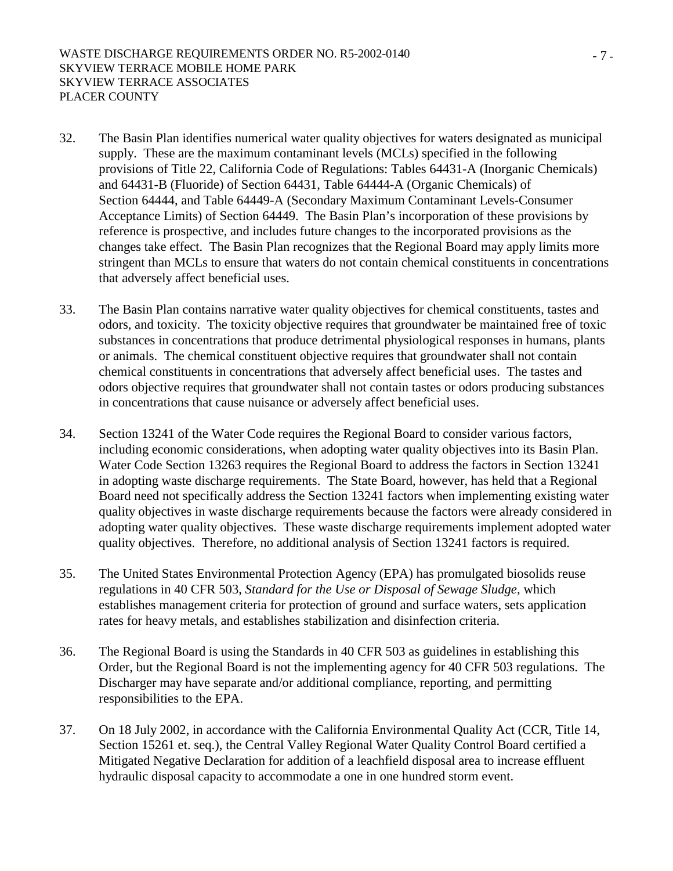- 32. The Basin Plan identifies numerical water quality objectives for waters designated as municipal supply. These are the maximum contaminant levels (MCLs) specified in the following provisions of Title 22, California Code of Regulations: Tables 64431-A (Inorganic Chemicals) and 64431-B (Fluoride) of Section 64431, Table 64444-A (Organic Chemicals) of Section 64444, and Table 64449-A (Secondary Maximum Contaminant Levels-Consumer Acceptance Limits) of Section 64449. The Basin Plan's incorporation of these provisions by reference is prospective, and includes future changes to the incorporated provisions as the changes take effect. The Basin Plan recognizes that the Regional Board may apply limits more stringent than MCLs to ensure that waters do not contain chemical constituents in concentrations that adversely affect beneficial uses.
- 33. The Basin Plan contains narrative water quality objectives for chemical constituents, tastes and odors, and toxicity. The toxicity objective requires that groundwater be maintained free of toxic substances in concentrations that produce detrimental physiological responses in humans, plants or animals. The chemical constituent objective requires that groundwater shall not contain chemical constituents in concentrations that adversely affect beneficial uses. The tastes and odors objective requires that groundwater shall not contain tastes or odors producing substances in concentrations that cause nuisance or adversely affect beneficial uses.
- 34. Section 13241 of the Water Code requires the Regional Board to consider various factors, including economic considerations, when adopting water quality objectives into its Basin Plan. Water Code Section 13263 requires the Regional Board to address the factors in Section 13241 in adopting waste discharge requirements. The State Board, however, has held that a Regional Board need not specifically address the Section 13241 factors when implementing existing water quality objectives in waste discharge requirements because the factors were already considered in adopting water quality objectives. These waste discharge requirements implement adopted water quality objectives. Therefore, no additional analysis of Section 13241 factors is required.
- 35. The United States Environmental Protection Agency (EPA) has promulgated biosolids reuse regulations in 40 CFR 503, *Standard for the Use or Disposal of Sewage Sludge,* which establishes management criteria for protection of ground and surface waters, sets application rates for heavy metals, and establishes stabilization and disinfection criteria.
- 36. The Regional Board is using the Standards in 40 CFR 503 as guidelines in establishing this Order, but the Regional Board is not the implementing agency for 40 CFR 503 regulations. The Discharger may have separate and/or additional compliance, reporting, and permitting responsibilities to the EPA.
- 37. On 18 July 2002, in accordance with the California Environmental Quality Act (CCR, Title 14, Section 15261 et. seq.), the Central Valley Regional Water Quality Control Board certified a Mitigated Negative Declaration for addition of a leachfield disposal area to increase effluent hydraulic disposal capacity to accommodate a one in one hundred storm event.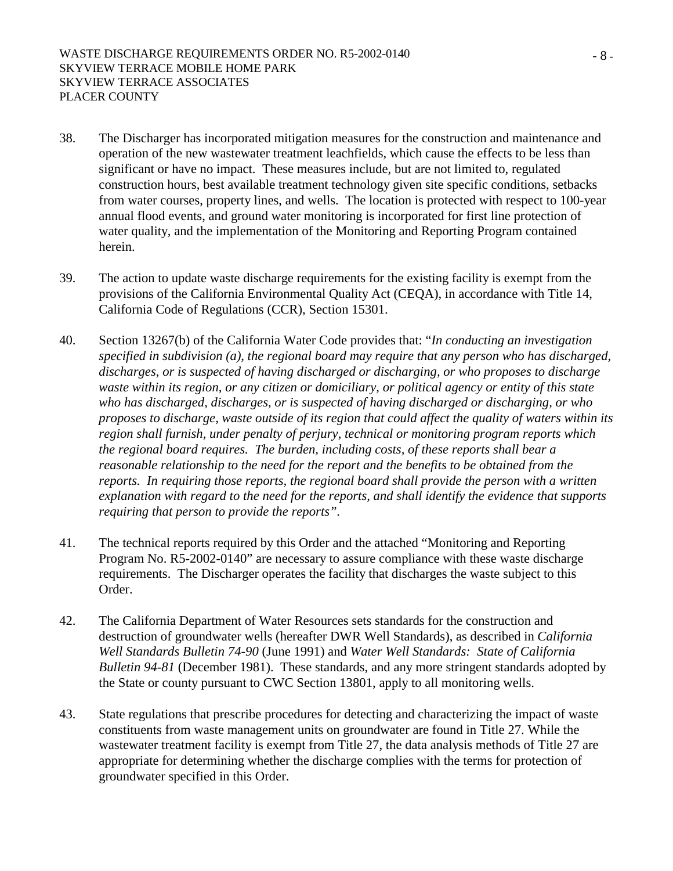- 38. The Discharger has incorporated mitigation measures for the construction and maintenance and operation of the new wastewater treatment leachfields, which cause the effects to be less than significant or have no impact. These measures include, but are not limited to, regulated construction hours, best available treatment technology given site specific conditions, setbacks from water courses, property lines, and wells. The location is protected with respect to 100-year annual flood events, and ground water monitoring is incorporated for first line protection of water quality, and the implementation of the Monitoring and Reporting Program contained herein.
- 39. The action to update waste discharge requirements for the existing facility is exempt from the provisions of the California Environmental Quality Act (CEQA), in accordance with Title 14, California Code of Regulations (CCR), Section 15301.
- 40. Section 13267(b) of the California Water Code provides that: "*In conducting an investigation specified in subdivision (a), the regional board may require that any person who has discharged, discharges, or is suspected of having discharged or discharging, or who proposes to discharge waste within its region, or any citizen or domiciliary, or political agency or entity of this state who has discharged, discharges, or is suspected of having discharged or discharging, or who proposes to discharge, waste outside of its region that could affect the quality of waters within its region shall furnish, under penalty of perjury, technical or monitoring program reports which the regional board requires. The burden, including costs, of these reports shall bear a reasonable relationship to the need for the report and the benefits to be obtained from the reports. In requiring those reports, the regional board shall provide the person with a written explanation with regard to the need for the reports, and shall identify the evidence that supports requiring that person to provide the reports".*
- 41. The technical reports required by this Order and the attached "Monitoring and Reporting Program No. R5-2002-0140" are necessary to assure compliance with these waste discharge requirements. The Discharger operates the facility that discharges the waste subject to this Order.
- 42. The California Department of Water Resources sets standards for the construction and destruction of groundwater wells (hereafter DWR Well Standards), as described in *California Well Standards Bulletin 74-90* (June 1991) and *Water Well Standards: State of California Bulletin 94-81* (December 1981). These standards, and any more stringent standards adopted by the State or county pursuant to CWC Section 13801, apply to all monitoring wells.
- 43. State regulations that prescribe procedures for detecting and characterizing the impact of waste constituents from waste management units on groundwater are found in Title 27. While the wastewater treatment facility is exempt from Title 27, the data analysis methods of Title 27 are appropriate for determining whether the discharge complies with the terms for protection of groundwater specified in this Order.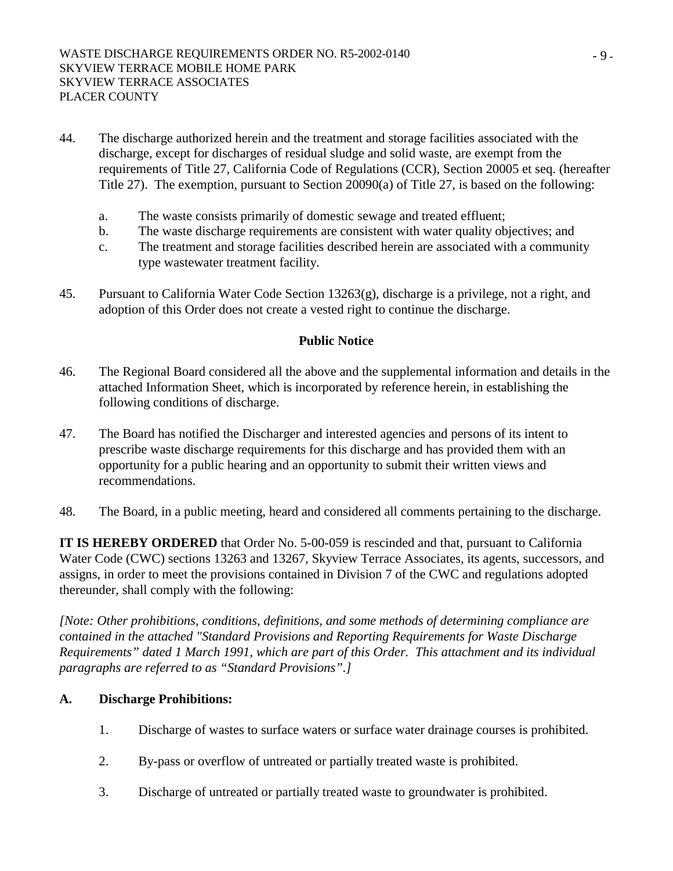- 44. The discharge authorized herein and the treatment and storage facilities associated with the discharge, except for discharges of residual sludge and solid waste, are exempt from the requirements of Title 27, California Code of Regulations (CCR), Section 20005 et seq. (hereafter Title 27). The exemption, pursuant to Section 20090(a) of Title 27, is based on the following:
	- a. The waste consists primarily of domestic sewage and treated effluent;
	- b. The waste discharge requirements are consistent with water quality objectives; and
	- c. The treatment and storage facilities described herein are associated with a community type wastewater treatment facility.
- 45. Pursuant to California Water Code Section 13263(g), discharge is a privilege, not a right, and adoption of this Order does not create a vested right to continue the discharge.

#### **Public Notice**

- 46. The Regional Board considered all the above and the supplemental information and details in the attached Information Sheet, which is incorporated by reference herein, in establishing the following conditions of discharge.
- 47. The Board has notified the Discharger and interested agencies and persons of its intent to prescribe waste discharge requirements for this discharge and has provided them with an opportunity for a public hearing and an opportunity to submit their written views and recommendations.
- 48. The Board, in a public meeting, heard and considered all comments pertaining to the discharge.

**IT IS HEREBY ORDERED** that Order No. 5-00-059 is rescinded and that, pursuant to California Water Code (CWC) sections 13263 and 13267, Skyview Terrace Associates, its agents, successors, and assigns, in order to meet the provisions contained in Division 7 of the CWC and regulations adopted thereunder, shall comply with the following:

*[Note: Other prohibitions, conditions, definitions, and some methods of determining compliance are contained in the attached "Standard Provisions and Reporting Requirements for Waste Discharge Requirements" dated 1 March 1991, which are part of this Order. This attachment and its individual paragraphs are referred to as "Standard Provisions".]* 

## **A. Discharge Prohibitions:**

- 1. Discharge of wastes to surface waters or surface water drainage courses is prohibited.
- 2. By-pass or overflow of untreated or partially treated waste is prohibited.
- 3. Discharge of untreated or partially treated waste to groundwater is prohibited.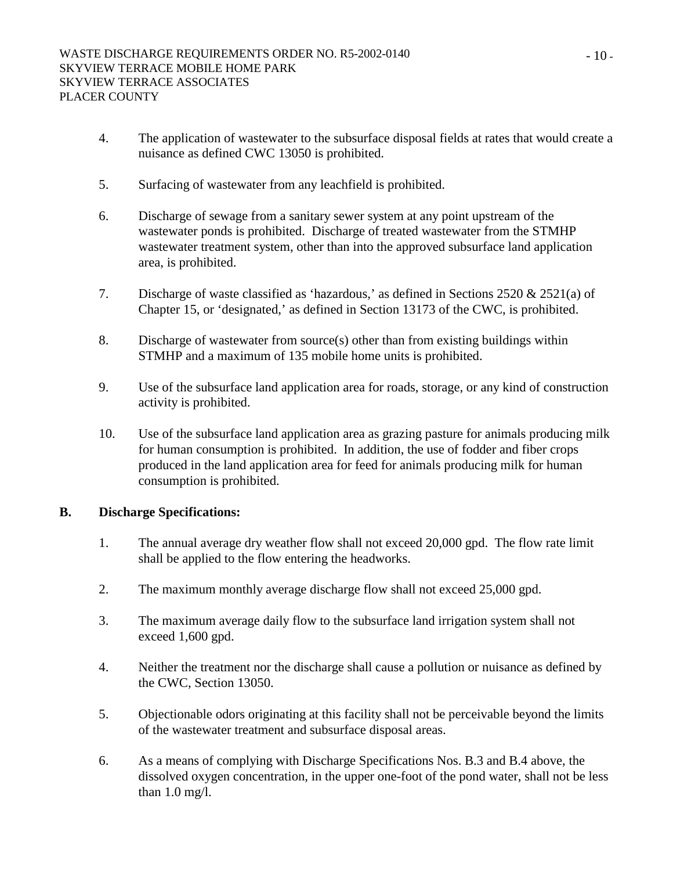- 4. The application of wastewater to the subsurface disposal fields at rates that would create a nuisance as defined CWC 13050 is prohibited.
- 5. Surfacing of wastewater from any leachfield is prohibited.
- 6. Discharge of sewage from a sanitary sewer system at any point upstream of the wastewater ponds is prohibited. Discharge of treated wastewater from the STMHP wastewater treatment system, other than into the approved subsurface land application area, is prohibited.
- 7. Discharge of waste classified as 'hazardous,' as defined in Sections 2520 & 2521(a) of Chapter 15, or 'designated,' as defined in Section 13173 of the CWC, is prohibited.
- 8. Discharge of wastewater from source(s) other than from existing buildings within STMHP and a maximum of 135 mobile home units is prohibited.
- 9. Use of the subsurface land application area for roads, storage, or any kind of construction activity is prohibited.
- 10. Use of the subsurface land application area as grazing pasture for animals producing milk for human consumption is prohibited. In addition, the use of fodder and fiber crops produced in the land application area for feed for animals producing milk for human consumption is prohibited.

## **B. Discharge Specifications:**

- 1. The annual average dry weather flow shall not exceed 20,000 gpd. The flow rate limit shall be applied to the flow entering the headworks.
- 2. The maximum monthly average discharge flow shall not exceed 25,000 gpd.
- 3. The maximum average daily flow to the subsurface land irrigation system shall not exceed 1,600 gpd.
- 4. Neither the treatment nor the discharge shall cause a pollution or nuisance as defined by the CWC, Section 13050.
- 5. Objectionable odors originating at this facility shall not be perceivable beyond the limits of the wastewater treatment and subsurface disposal areas.
- 6. As a means of complying with Discharge Specifications Nos. B.3 and B.4 above, the dissolved oxygen concentration, in the upper one-foot of the pond water, shall not be less than 1.0 mg/l.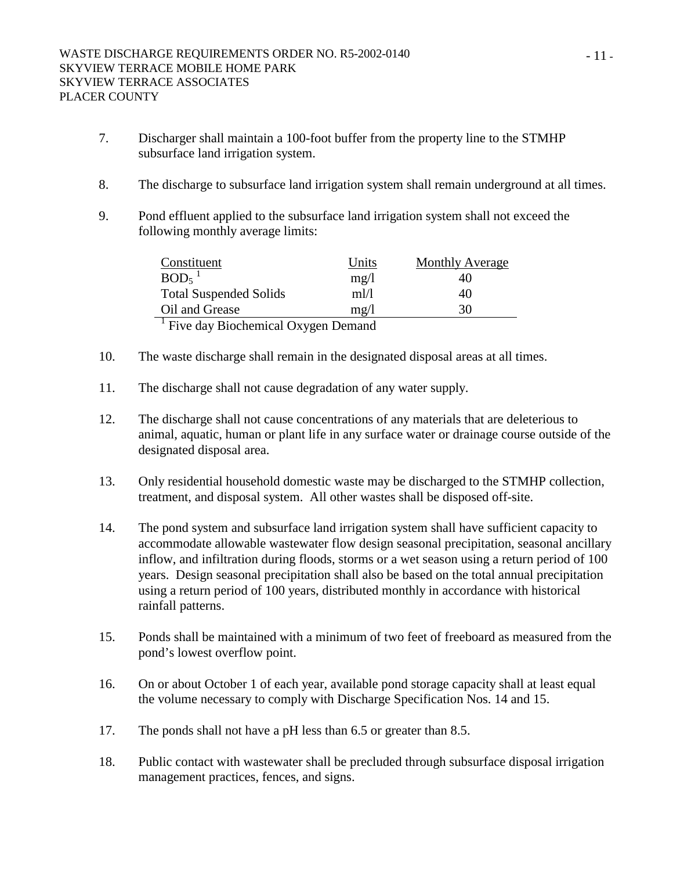- 7. Discharger shall maintain a 100-foot buffer from the property line to the STMHP subsurface land irrigation system.
- 8. The discharge to subsurface land irrigation system shall remain underground at all times.
- 9. Pond effluent applied to the subsurface land irrigation system shall not exceed the following monthly average limits:

| Constituent                                      | Units            | <b>Monthly Average</b> |  |  |  |
|--------------------------------------------------|------------------|------------------------|--|--|--|
| $BOD5$ <sup>1</sup>                              | mg/l             | 40                     |  |  |  |
| <b>Total Suspended Solids</b>                    | $m$ <sub>I</sub> | 40                     |  |  |  |
| Oil and Grease                                   | mg/l             | 30                     |  |  |  |
| $\frac{1}{2}$ Eive day Biochamical Owners Damand |                  |                        |  |  |  |

Five day Biochemical Oxygen Demand

- 10. The waste discharge shall remain in the designated disposal areas at all times.
- 11. The discharge shall not cause degradation of any water supply.
- 12. The discharge shall not cause concentrations of any materials that are deleterious to animal, aquatic, human or plant life in any surface water or drainage course outside of the designated disposal area.
- 13. Only residential household domestic waste may be discharged to the STMHP collection, treatment, and disposal system. All other wastes shall be disposed off-site.
- 14. The pond system and subsurface land irrigation system shall have sufficient capacity to accommodate allowable wastewater flow design seasonal precipitation, seasonal ancillary inflow, and infiltration during floods, storms or a wet season using a return period of 100 years. Design seasonal precipitation shall also be based on the total annual precipitation using a return period of 100 years, distributed monthly in accordance with historical rainfall patterns.
- 15. Ponds shall be maintained with a minimum of two feet of freeboard as measured from the pond's lowest overflow point.
- 16. On or about October 1 of each year, available pond storage capacity shall at least equal the volume necessary to comply with Discharge Specification Nos. 14 and 15.
- 17. The ponds shall not have a pH less than 6.5 or greater than 8.5.
- 18. Public contact with wastewater shall be precluded through subsurface disposal irrigation management practices, fences, and signs.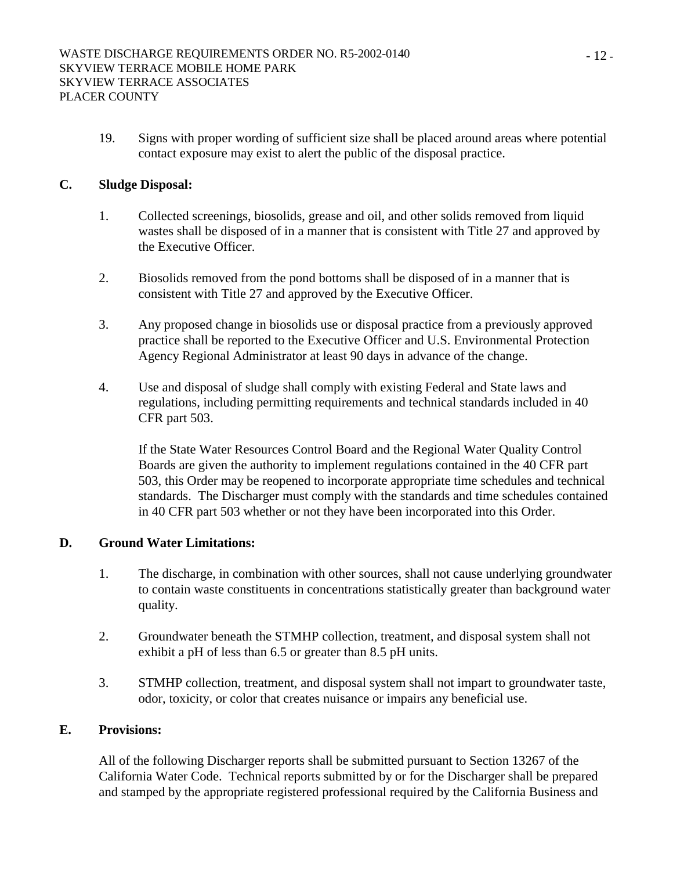19. Signs with proper wording of sufficient size shall be placed around areas where potential contact exposure may exist to alert the public of the disposal practice.

## **C. Sludge Disposal:**

- 1. Collected screenings, biosolids, grease and oil, and other solids removed from liquid wastes shall be disposed of in a manner that is consistent with Title 27 and approved by the Executive Officer.
- 2. Biosolids removed from the pond bottoms shall be disposed of in a manner that is consistent with Title 27 and approved by the Executive Officer.
- 3. Any proposed change in biosolids use or disposal practice from a previously approved practice shall be reported to the Executive Officer and U.S. Environmental Protection Agency Regional Administrator at least 90 days in advance of the change.
- 4. Use and disposal of sludge shall comply with existing Federal and State laws and regulations, including permitting requirements and technical standards included in 40 CFR part 503.

If the State Water Resources Control Board and the Regional Water Quality Control Boards are given the authority to implement regulations contained in the 40 CFR part 503, this Order may be reopened to incorporate appropriate time schedules and technical standards. The Discharger must comply with the standards and time schedules contained in 40 CFR part 503 whether or not they have been incorporated into this Order.

## **D. Ground Water Limitations:**

- 1. The discharge, in combination with other sources, shall not cause underlying groundwater to contain waste constituents in concentrations statistically greater than background water quality.
- 2. Groundwater beneath the STMHP collection, treatment, and disposal system shall not exhibit a pH of less than 6.5 or greater than 8.5 pH units.
- 3. STMHP collection, treatment, and disposal system shall not impart to groundwater taste, odor, toxicity, or color that creates nuisance or impairs any beneficial use.

## **E. Provisions:**

All of the following Discharger reports shall be submitted pursuant to Section 13267 of the California Water Code. Technical reports submitted by or for the Discharger shall be prepared and stamped by the appropriate registered professional required by the California Business and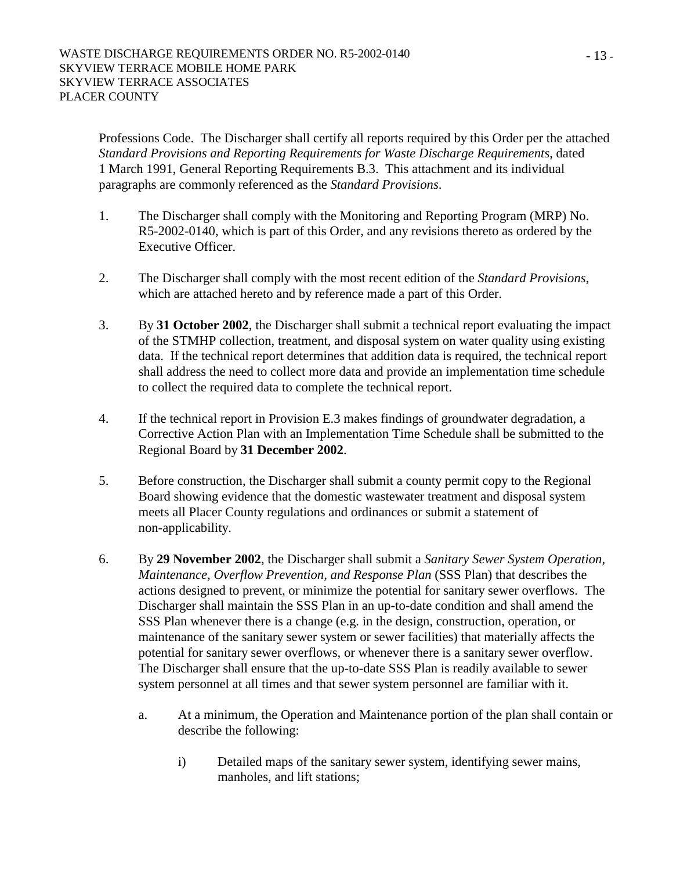Professions Code. The Discharger shall certify all reports required by this Order per the attached *Standard Provisions and Reporting Requirements for Waste Discharge Requirements*, dated 1 March 1991, General Reporting Requirements B.3. This attachment and its individual paragraphs are commonly referenced as the *Standard Provisions*.

- 1. The Discharger shall comply with the Monitoring and Reporting Program (MRP) No. R5-2002-0140, which is part of this Order, and any revisions thereto as ordered by the Executive Officer.
- 2. The Discharger shall comply with the most recent edition of the *Standard Provisions*, which are attached hereto and by reference made a part of this Order.
- 3. By **31 October 2002**, the Discharger shall submit a technical report evaluating the impact of the STMHP collection, treatment, and disposal system on water quality using existing data. If the technical report determines that addition data is required, the technical report shall address the need to collect more data and provide an implementation time schedule to collect the required data to complete the technical report.
- 4. If the technical report in Provision E.3 makes findings of groundwater degradation, a Corrective Action Plan with an Implementation Time Schedule shall be submitted to the Regional Board by **31 December 2002**.
- 5. Before construction, the Discharger shall submit a county permit copy to the Regional Board showing evidence that the domestic wastewater treatment and disposal system meets all Placer County regulations and ordinances or submit a statement of non-applicability.
- 6. By **29 November 2002**, the Discharger shall submit a *Sanitary Sewer System Operation, Maintenance, Overflow Prevention, and Response Plan* (SSS Plan) that describes the actions designed to prevent, or minimize the potential for sanitary sewer overflows. The Discharger shall maintain the SSS Plan in an up-to-date condition and shall amend the SSS Plan whenever there is a change (e.g. in the design, construction, operation, or maintenance of the sanitary sewer system or sewer facilities) that materially affects the potential for sanitary sewer overflows, or whenever there is a sanitary sewer overflow. The Discharger shall ensure that the up-to-date SSS Plan is readily available to sewer system personnel at all times and that sewer system personnel are familiar with it.
	- a. At a minimum, the Operation and Maintenance portion of the plan shall contain or describe the following:
		- i) Detailed maps of the sanitary sewer system, identifying sewer mains, manholes, and lift stations;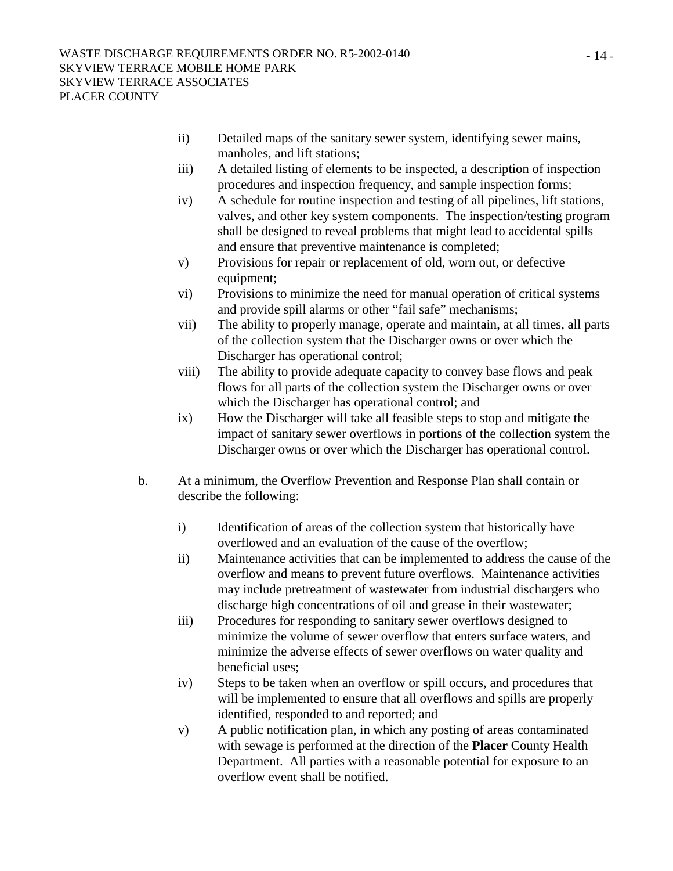- ii) Detailed maps of the sanitary sewer system, identifying sewer mains, manholes, and lift stations;
- iii) A detailed listing of elements to be inspected, a description of inspection procedures and inspection frequency, and sample inspection forms;
- iv) A schedule for routine inspection and testing of all pipelines, lift stations, valves, and other key system components. The inspection/testing program shall be designed to reveal problems that might lead to accidental spills and ensure that preventive maintenance is completed;
- v) Provisions for repair or replacement of old, worn out, or defective equipment;
- vi) Provisions to minimize the need for manual operation of critical systems and provide spill alarms or other "fail safe" mechanisms;
- vii) The ability to properly manage, operate and maintain, at all times, all parts of the collection system that the Discharger owns or over which the Discharger has operational control;
- viii) The ability to provide adequate capacity to convey base flows and peak flows for all parts of the collection system the Discharger owns or over which the Discharger has operational control; and
- ix) How the Discharger will take all feasible steps to stop and mitigate the impact of sanitary sewer overflows in portions of the collection system the Discharger owns or over which the Discharger has operational control.
- b. At a minimum, the Overflow Prevention and Response Plan shall contain or describe the following:
	- i) Identification of areas of the collection system that historically have overflowed and an evaluation of the cause of the overflow;
	- ii) Maintenance activities that can be implemented to address the cause of the overflow and means to prevent future overflows. Maintenance activities may include pretreatment of wastewater from industrial dischargers who discharge high concentrations of oil and grease in their wastewater;
	- iii) Procedures for responding to sanitary sewer overflows designed to minimize the volume of sewer overflow that enters surface waters, and minimize the adverse effects of sewer overflows on water quality and beneficial uses;
	- iv) Steps to be taken when an overflow or spill occurs, and procedures that will be implemented to ensure that all overflows and spills are properly identified, responded to and reported; and
	- v) A public notification plan, in which any posting of areas contaminated with sewage is performed at the direction of the **Placer** County Health Department. All parties with a reasonable potential for exposure to an overflow event shall be notified.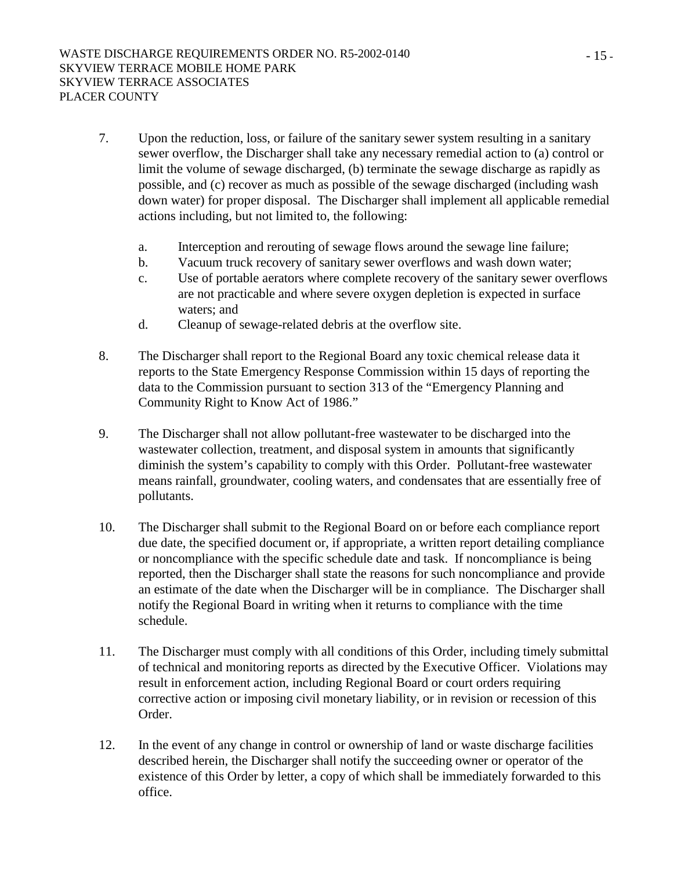- 7. Upon the reduction, loss, or failure of the sanitary sewer system resulting in a sanitary sewer overflow, the Discharger shall take any necessary remedial action to (a) control or limit the volume of sewage discharged, (b) terminate the sewage discharge as rapidly as possible, and (c) recover as much as possible of the sewage discharged (including wash down water) for proper disposal. The Discharger shall implement all applicable remedial actions including, but not limited to, the following:
	- a. Interception and rerouting of sewage flows around the sewage line failure;
	- b. Vacuum truck recovery of sanitary sewer overflows and wash down water;
	- c. Use of portable aerators where complete recovery of the sanitary sewer overflows are not practicable and where severe oxygen depletion is expected in surface waters; and
	- d. Cleanup of sewage-related debris at the overflow site.
- 8. The Discharger shall report to the Regional Board any toxic chemical release data it reports to the State Emergency Response Commission within 15 days of reporting the data to the Commission pursuant to section 313 of the "Emergency Planning and Community Right to Know Act of 1986."
- 9. The Discharger shall not allow pollutant-free wastewater to be discharged into the wastewater collection, treatment, and disposal system in amounts that significantly diminish the system's capability to comply with this Order. Pollutant-free wastewater means rainfall, groundwater, cooling waters, and condensates that are essentially free of pollutants.
- 10. The Discharger shall submit to the Regional Board on or before each compliance report due date, the specified document or, if appropriate, a written report detailing compliance or noncompliance with the specific schedule date and task. If noncompliance is being reported, then the Discharger shall state the reasons for such noncompliance and provide an estimate of the date when the Discharger will be in compliance. The Discharger shall notify the Regional Board in writing when it returns to compliance with the time schedule.
- 11. The Discharger must comply with all conditions of this Order, including timely submittal of technical and monitoring reports as directed by the Executive Officer. Violations may result in enforcement action, including Regional Board or court orders requiring corrective action or imposing civil monetary liability, or in revision or recession of this Order.
- 12. In the event of any change in control or ownership of land or waste discharge facilities described herein, the Discharger shall notify the succeeding owner or operator of the existence of this Order by letter, a copy of which shall be immediately forwarded to this office.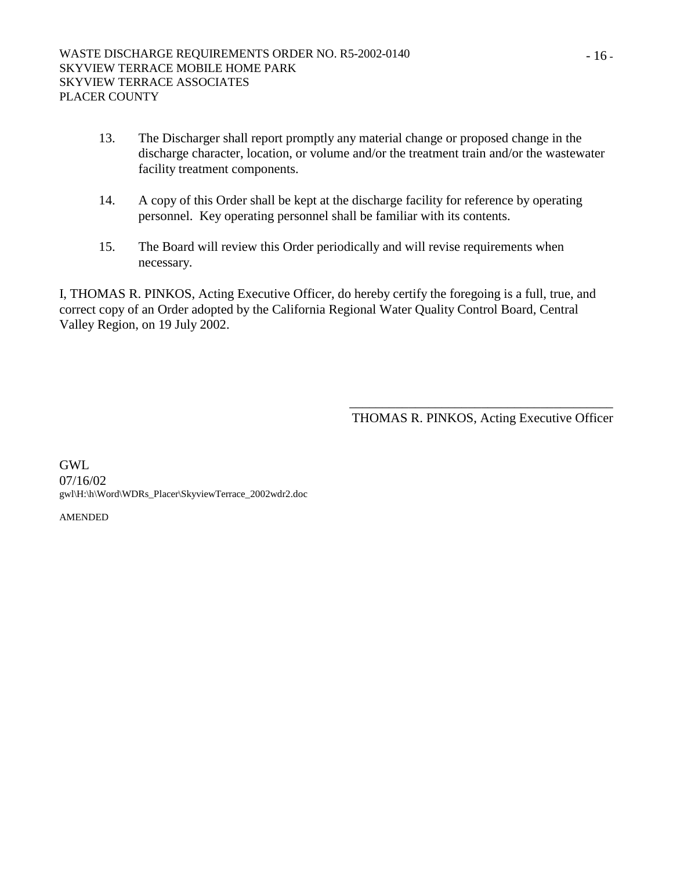- 13. The Discharger shall report promptly any material change or proposed change in the discharge character, location, or volume and/or the treatment train and/or the wastewater facility treatment components.
- 14. A copy of this Order shall be kept at the discharge facility for reference by operating personnel. Key operating personnel shall be familiar with its contents.
- 15. The Board will review this Order periodically and will revise requirements when necessary.

I, THOMAS R. PINKOS, Acting Executive Officer, do hereby certify the foregoing is a full, true, and correct copy of an Order adopted by the California Regional Water Quality Control Board, Central Valley Region, on 19 July 2002.

> \_\_\_\_\_\_\_\_\_\_\_\_\_\_\_\_\_\_\_\_\_\_\_\_\_\_\_\_\_\_\_\_\_\_\_\_\_\_\_\_ THOMAS R. PINKOS, Acting Executive Officer

GWL 07/16/02 gwl\H:\h\Word\WDRs\_Placer\SkyviewTerrace\_2002wdr2.doc

AMENDED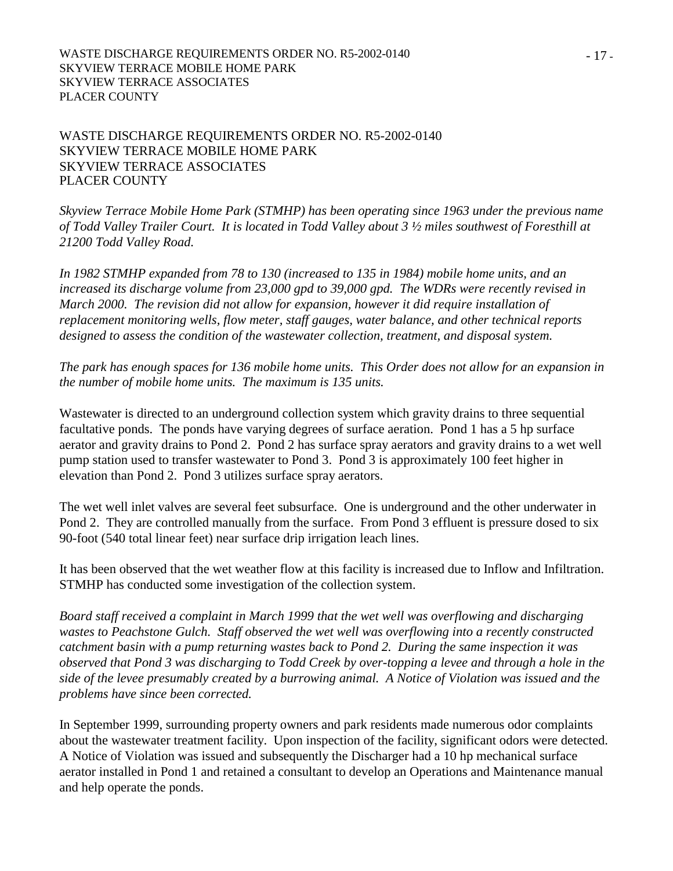WASTE DISCHARGE REQUIREMENTS ORDER NO. R5-2002-0140 SKYVIEW TERRACE MOBILE HOME PARK SKYVIEW TERRACE ASSOCIATES PLACER COUNTY

WASTE DISCHARGE REQUIREMENTS ORDER NO. R5-2002-0140 SKYVIEW TERRACE MOBILE HOME PARK SKYVIEW TERRACE ASSOCIATES PLACER COUNTY

*Skyview Terrace Mobile Home Park (STMHP) has been operating since 1963 under the previous name of Todd Valley Trailer Court. It is located in Todd Valley about 3 ½ miles southwest of Foresthill at 21200 Todd Valley Road.* 

*In 1982 STMHP expanded from 78 to 130 (increased to 135 in 1984) mobile home units, and an increased its discharge volume from 23,000 gpd to 39,000 gpd. The WDRs were recently revised in March 2000. The revision did not allow for expansion, however it did require installation of replacement monitoring wells, flow meter, staff gauges, water balance, and other technical reports designed to assess the condition of the wastewater collection, treatment, and disposal system.* 

*The park has enough spaces for 136 mobile home units. This Order does not allow for an expansion in the number of mobile home units. The maximum is 135 units.* 

Wastewater is directed to an underground collection system which gravity drains to three sequential facultative ponds. The ponds have varying degrees of surface aeration. Pond 1 has a 5 hp surface aerator and gravity drains to Pond 2. Pond 2 has surface spray aerators and gravity drains to a wet well pump station used to transfer wastewater to Pond 3. Pond 3 is approximately 100 feet higher in elevation than Pond 2. Pond 3 utilizes surface spray aerators.

The wet well inlet valves are several feet subsurface. One is underground and the other underwater in Pond 2. They are controlled manually from the surface. From Pond 3 effluent is pressure dosed to six 90-foot (540 total linear feet) near surface drip irrigation leach lines.

It has been observed that the wet weather flow at this facility is increased due to Inflow and Infiltration. STMHP has conducted some investigation of the collection system.

*Board staff received a complaint in March 1999 that the wet well was overflowing and discharging wastes to Peachstone Gulch. Staff observed the wet well was overflowing into a recently constructed catchment basin with a pump returning wastes back to Pond 2. During the same inspection it was observed that Pond 3 was discharging to Todd Creek by over-topping a levee and through a hole in the side of the levee presumably created by a burrowing animal. A Notice of Violation was issued and the problems have since been corrected.* 

In September 1999, surrounding property owners and park residents made numerous odor complaints about the wastewater treatment facility. Upon inspection of the facility, significant odors were detected. A Notice of Violation was issued and subsequently the Discharger had a 10 hp mechanical surface aerator installed in Pond 1 and retained a consultant to develop an Operations and Maintenance manual and help operate the ponds.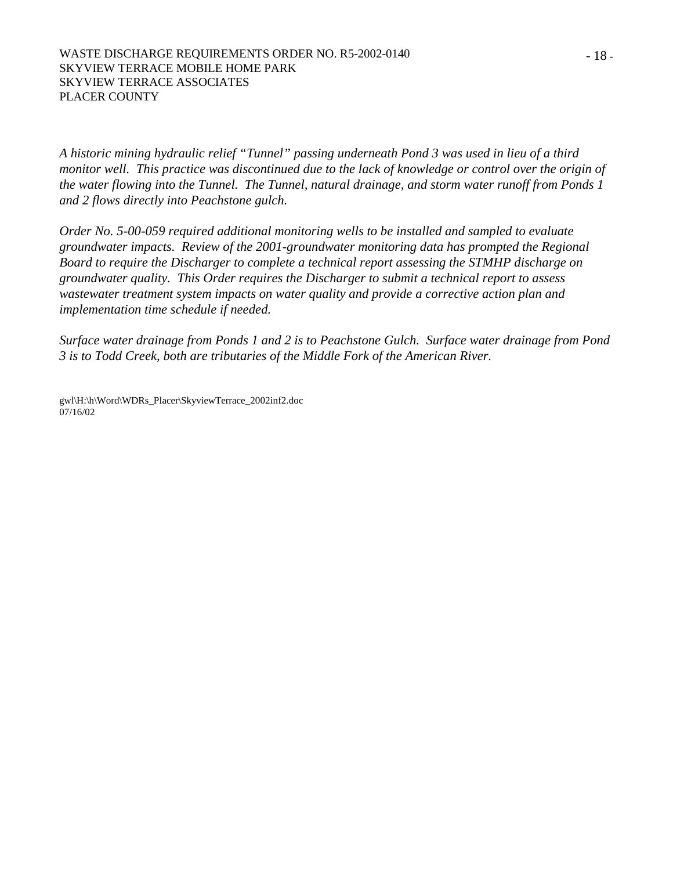*A historic mining hydraulic relief "Tunnel" passing underneath Pond 3 was used in lieu of a third monitor well. This practice was discontinued due to the lack of knowledge or control over the origin of the water flowing into the Tunnel. The Tunnel, natural drainage, and storm water runoff from Ponds 1 and 2 flows directly into Peachstone gulch.* 

*Order No. 5-00-059 required additional monitoring wells to be installed and sampled to evaluate groundwater impacts. Review of the 2001-groundwater monitoring data has prompted the Regional Board to require the Discharger to complete a technical report assessing the STMHP discharge on groundwater quality. This Order requires the Discharger to submit a technical report to assess wastewater treatment system impacts on water quality and provide a corrective action plan and implementation time schedule if needed.* 

*Surface water drainage from Ponds 1 and 2 is to Peachstone Gulch. Surface water drainage from Pond 3 is to Todd Creek, both are tributaries of the Middle Fork of the American River.* 

gwl\H:\h\Word\WDRs\_Placer\SkyviewTerrace\_2002inf2.doc 07/16/02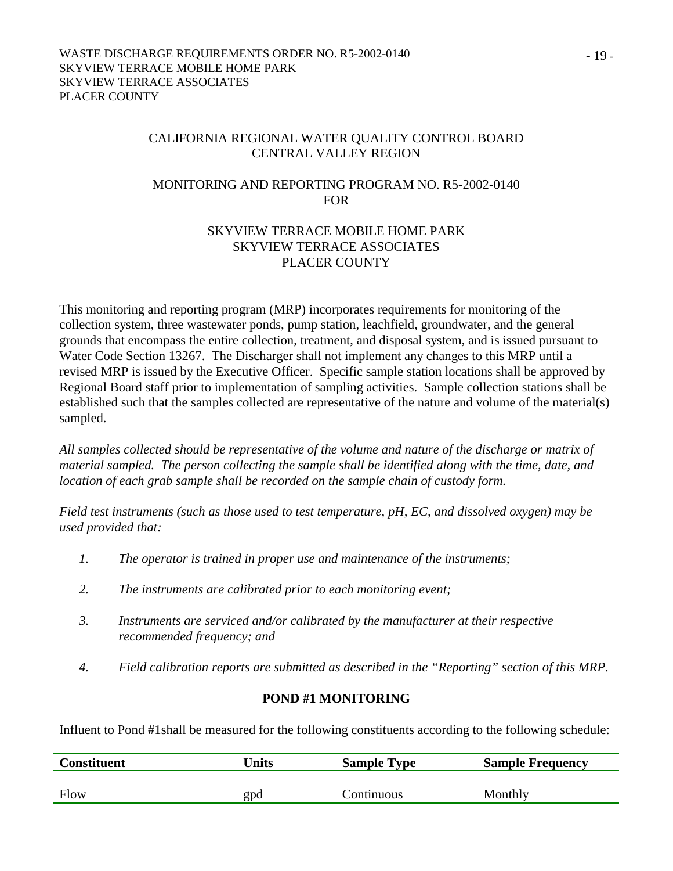#### CALIFORNIA REGIONAL WATER QUALITY CONTROL BOARD CENTRAL VALLEY REGION

## MONITORING AND REPORTING PROGRAM NO. R5-2002-0140 FOR

#### SKYVIEW TERRACE MOBILE HOME PARK SKYVIEW TERRACE ASSOCIATES PLACER COUNTY

This monitoring and reporting program (MRP) incorporates requirements for monitoring of the collection system, three wastewater ponds, pump station, leachfield, groundwater, and the general grounds that encompass the entire collection, treatment, and disposal system, and is issued pursuant to Water Code Section 13267. The Discharger shall not implement any changes to this MRP until a revised MRP is issued by the Executive Officer. Specific sample station locations shall be approved by Regional Board staff prior to implementation of sampling activities. Sample collection stations shall be established such that the samples collected are representative of the nature and volume of the material(s) sampled.

*All samples collected should be representative of the volume and nature of the discharge or matrix of material sampled. The person collecting the sample shall be identified along with the time, date, and location of each grab sample shall be recorded on the sample chain of custody form.* 

*Field test instruments (such as those used to test temperature, pH, EC, and dissolved oxygen) may be used provided that:* 

- *1. The operator is trained in proper use and maintenance of the instruments;*
- *2. The instruments are calibrated prior to each monitoring event;*
- *3. Instruments are serviced and/or calibrated by the manufacturer at their respective recommended frequency; and*
- *4. Field calibration reports are submitted as described in the "Reporting" section of this MRP.*

## **POND #1 MONITORING**

Influent to Pond #1shall be measured for the following constituents according to the following schedule:

| <b>Constituent</b> | Units | <b>Sample Type</b> | <b>Sample Frequency</b> |
|--------------------|-------|--------------------|-------------------------|
|                    |       |                    |                         |
| Flow               | gpd   | Continuous         | Monthly                 |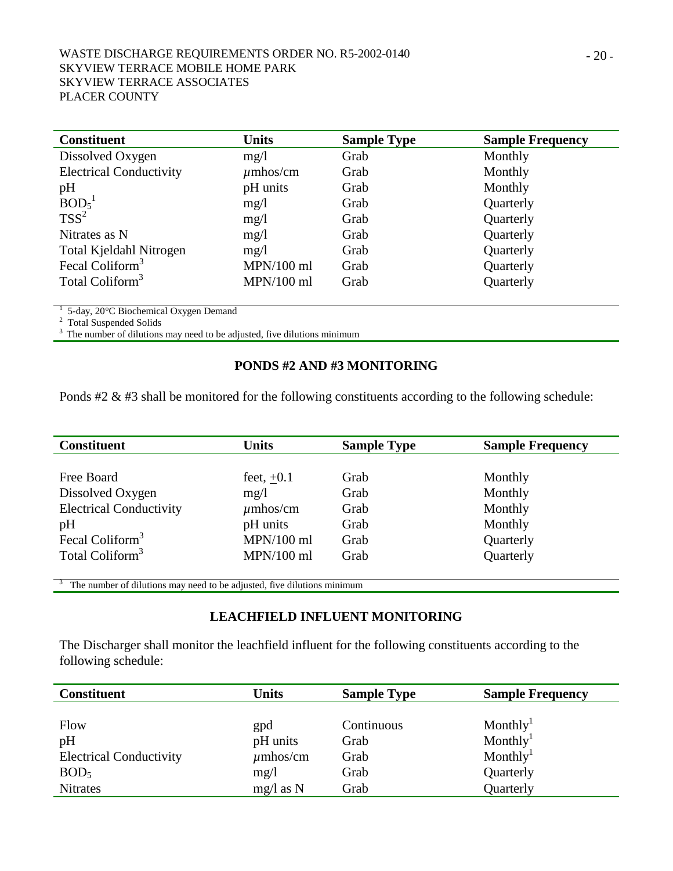| <b>Constituent</b>             | <b>Units</b>  | <b>Sample Type</b> | <b>Sample Frequency</b> |
|--------------------------------|---------------|--------------------|-------------------------|
| Dissolved Oxygen               | mg/l          | Grab               | Monthly                 |
| <b>Electrical Conductivity</b> | $\mu$ mhos/cm | Grab               | Monthly                 |
| pH                             | pH units      | Grab               | Monthly                 |
| BOD <sub>5</sub> <sup>1</sup>  | mg/1          | Grab               | Quarterly               |
| $TSS^2$                        | mg/l          | Grab               | Quarterly               |
| Nitrates as N                  | mg/1          | Grab               | Quarterly               |
| Total Kjeldahl Nitrogen        | mg/1          | Grab               | Quarterly               |
| Fecal Coliform <sup>3</sup>    | $MPN/100$ ml  | Grab               | Quarterly               |
| Total Coliform <sup>3</sup>    | $MPN/100$ ml  | Grab               | Quarterly               |

<sup>1</sup> 5-day, 20<sup>°</sup>C Biochemical Oxygen Demand

<sup>2</sup> Total Suspended Solids

<sup>3</sup> The number of dilutions may need to be adjusted, five dilutions minimum

## **PONDS #2 AND #3 MONITORING**

Ponds #2 & #3 shall be monitored for the following constituents according to the following schedule:

| <b>Constituent</b>             | <b>Units</b>  | <b>Sample Type</b> | <b>Sample Frequency</b> |
|--------------------------------|---------------|--------------------|-------------------------|
|                                |               |                    |                         |
| Free Board                     | feet, $+0.1$  | Grab               | Monthly                 |
| Dissolved Oxygen               | mg/l          | Grab               | Monthly                 |
| <b>Electrical Conductivity</b> | $\mu$ mhos/cm | Grab               | Monthly                 |
| pH                             | pH units      | Grab               | Monthly                 |
| Fecal Coliform <sup>3</sup>    | $MPN/100$ ml  | Grab               | Quarterly               |
| Total Coliform <sup>3</sup>    | $MPN/100$ ml  | Grab               | Quarterly               |
|                                |               |                    |                         |

The number of dilutions may need to be adjusted, five dilutions minimum

#### **LEACHFIELD INFLUENT MONITORING**

The Discharger shall monitor the leachfield influent for the following constituents according to the following schedule:

| <b>Constituent</b>             | Units         | <b>Sample Type</b> | <b>Sample Frequency</b> |
|--------------------------------|---------------|--------------------|-------------------------|
|                                |               |                    |                         |
| Flow                           | gpd           | Continuous         | Monthly <sup>1</sup>    |
| pH                             | pH units      | Grab               | Monthly <sup>1</sup>    |
| <b>Electrical Conductivity</b> | $\mu$ mhos/cm | Grab               | Monthly <sup>1</sup>    |
| BOD <sub>5</sub>               | mg/1          | Grab               | Quarterly               |
| <b>Nitrates</b>                | $mg/l$ as N   | Grab               | Quarterly               |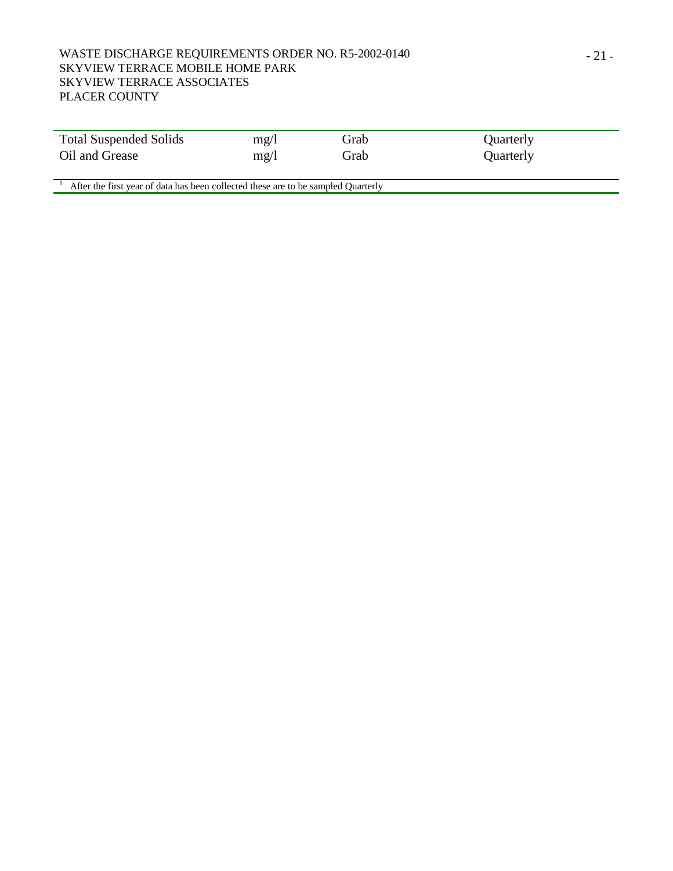#### WASTE DISCHARGE REQUIREMENTS ORDER NO. R5-2002-0140 SKYVIEW TERRACE MOBILE HOME PARK SKYVIEW TERRACE ASSOCIATES PLACER COUNTY

| <b>Total Suspended Solids</b> | mg/l | Grab | Quarterly |
|-------------------------------|------|------|-----------|
| Oil and Grease                | mg/1 | Grab | Quarterly |

 $1$  After the first year of data has been collected these are to be sampled Quarterly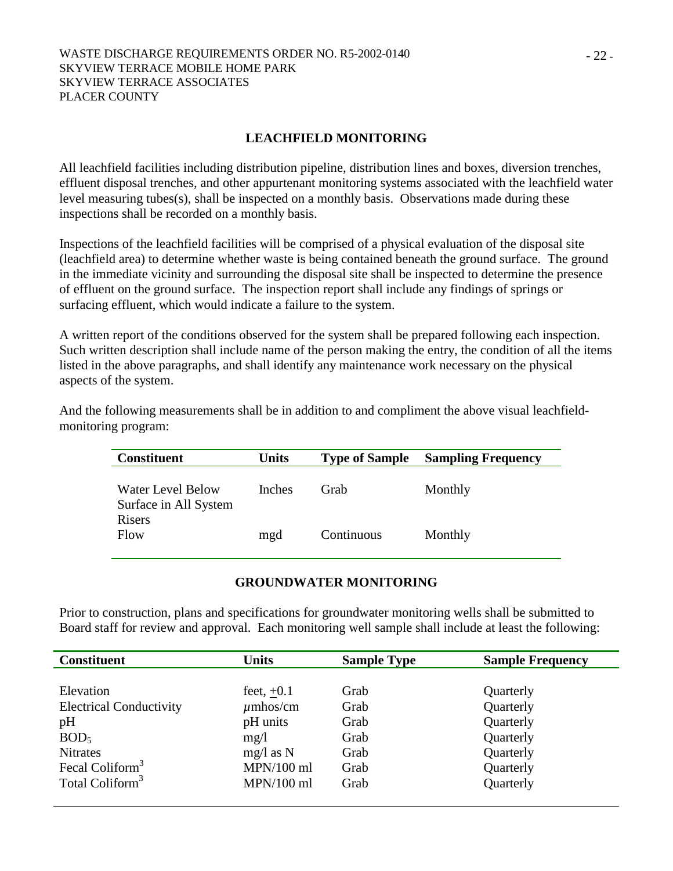#### **LEACHFIELD MONITORING**

All leachfield facilities including distribution pipeline, distribution lines and boxes, diversion trenches, effluent disposal trenches, and other appurtenant monitoring systems associated with the leachfield water level measuring tubes(s), shall be inspected on a monthly basis. Observations made during these inspections shall be recorded on a monthly basis.

Inspections of the leachfield facilities will be comprised of a physical evaluation of the disposal site (leachfield area) to determine whether waste is being contained beneath the ground surface. The ground in the immediate vicinity and surrounding the disposal site shall be inspected to determine the presence of effluent on the ground surface. The inspection report shall include any findings of springs or surfacing effluent, which would indicate a failure to the system.

A written report of the conditions observed for the system shall be prepared following each inspection. Such written description shall include name of the person making the entry, the condition of all the items listed in the above paragraphs, and shall identify any maintenance work necessary on the physical aspects of the system.

And the following measurements shall be in addition to and compliment the above visual leachfieldmonitoring program:

| <b>Constituent</b>                                | <b>Units</b>  | <b>Type of Sample</b> | <b>Sampling Frequency</b> |
|---------------------------------------------------|---------------|-----------------------|---------------------------|
| <b>Water Level Below</b><br>Surface in All System | <b>Inches</b> | Grab                  | Monthly                   |
| Risers<br>Flow                                    | mgd           | Continuous            | Monthly                   |

## **GROUNDWATER MONITORING**

Prior to construction, plans and specifications for groundwater monitoring wells shall be submitted to Board staff for review and approval. Each monitoring well sample shall include at least the following:

| <b>Constituent</b>             | Units         | <b>Sample Type</b> | <b>Sample Frequency</b> |
|--------------------------------|---------------|--------------------|-------------------------|
|                                |               |                    |                         |
| Elevation                      | feet, $+0.1$  | Grab               | Quarterly               |
| <b>Electrical Conductivity</b> | $\mu$ mhos/cm | Grab               | Quarterly               |
| pH                             | pH units      | Grab               | Quarterly               |
| BOD <sub>5</sub>               | mg/l          | Grab               | Quarterly               |
| <b>Nitrates</b>                | $mg/l$ as N   | Grab               | Quarterly               |
| Fecal Coliform <sup>3</sup>    | $MPN/100$ ml  | Grab               | Quarterly               |
| Total Coliform <sup>3</sup>    | $MPN/100$ ml  | Grab               | Quarterly               |
|                                |               |                    |                         |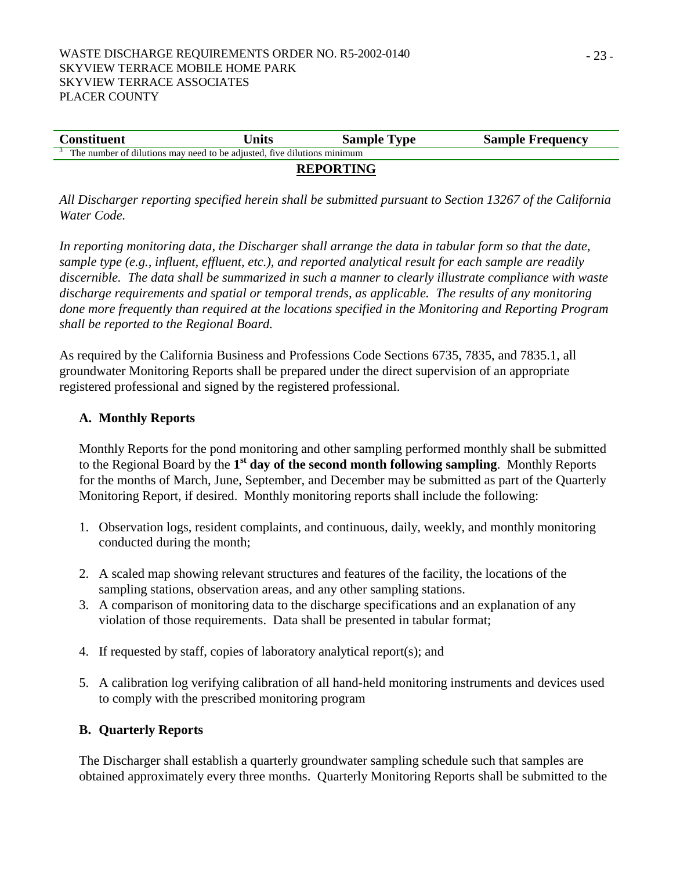| <b>Constituent</b>                                                      | Units | <b>Sample Type</b> | <b>Sample Frequency</b> |  |  |  |
|-------------------------------------------------------------------------|-------|--------------------|-------------------------|--|--|--|
| The number of dilutions may need to be adjusted, five dilutions minimum |       |                    |                         |  |  |  |
| <b>REPORTING</b>                                                        |       |                    |                         |  |  |  |

*All Discharger reporting specified herein shall be submitted pursuant to Section 13267 of the California Water Code.* 

*In reporting monitoring data, the Discharger shall arrange the data in tabular form so that the date, sample type (e.g., influent, effluent, etc.), and reported analytical result for each sample are readily discernible. The data shall be summarized in such a manner to clearly illustrate compliance with waste discharge requirements and spatial or temporal trends, as applicable. The results of any monitoring done more frequently than required at the locations specified in the Monitoring and Reporting Program shall be reported to the Regional Board.* 

As required by the California Business and Professions Code Sections 6735, 7835, and 7835.1, all groundwater Monitoring Reports shall be prepared under the direct supervision of an appropriate registered professional and signed by the registered professional.

## **A. Monthly Reports**

Monthly Reports for the pond monitoring and other sampling performed monthly shall be submitted to the Regional Board by the **1st day of the second month following sampling**. Monthly Reports for the months of March, June, September, and December may be submitted as part of the Quarterly Monitoring Report, if desired. Monthly monitoring reports shall include the following:

- 1. Observation logs, resident complaints, and continuous, daily, weekly, and monthly monitoring conducted during the month;
- 2. A scaled map showing relevant structures and features of the facility, the locations of the sampling stations, observation areas, and any other sampling stations.
- 3. A comparison of monitoring data to the discharge specifications and an explanation of any violation of those requirements. Data shall be presented in tabular format;
- 4. If requested by staff, copies of laboratory analytical report(s); and
- 5. A calibration log verifying calibration of all hand-held monitoring instruments and devices used to comply with the prescribed monitoring program

## **B. Quarterly Reports**

The Discharger shall establish a quarterly groundwater sampling schedule such that samples are obtained approximately every three months. Quarterly Monitoring Reports shall be submitted to the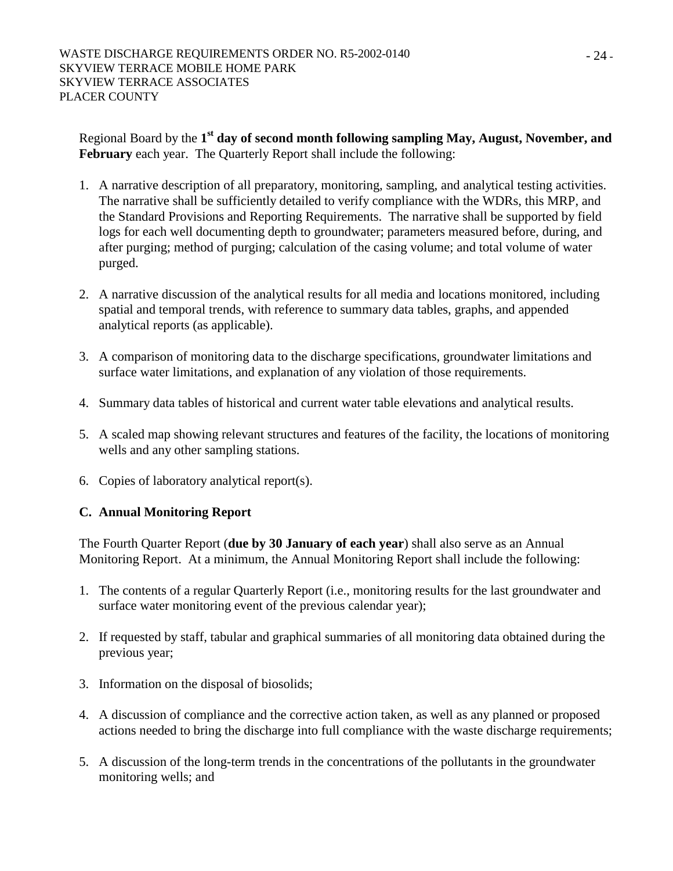Regional Board by the **1st day of second month following sampling May, August, November, and February** each year. The Quarterly Report shall include the following:

- 1. A narrative description of all preparatory, monitoring, sampling, and analytical testing activities. The narrative shall be sufficiently detailed to verify compliance with the WDRs, this MRP, and the Standard Provisions and Reporting Requirements. The narrative shall be supported by field logs for each well documenting depth to groundwater; parameters measured before, during, and after purging; method of purging; calculation of the casing volume; and total volume of water purged.
- 2. A narrative discussion of the analytical results for all media and locations monitored, including spatial and temporal trends, with reference to summary data tables, graphs, and appended analytical reports (as applicable).
- 3. A comparison of monitoring data to the discharge specifications, groundwater limitations and surface water limitations, and explanation of any violation of those requirements.
- 4. Summary data tables of historical and current water table elevations and analytical results.
- 5. A scaled map showing relevant structures and features of the facility, the locations of monitoring wells and any other sampling stations.
- 6. Copies of laboratory analytical report(s).

# **C. Annual Monitoring Report**

The Fourth Quarter Report (**due by 30 January of each year**) shall also serve as an Annual Monitoring Report. At a minimum, the Annual Monitoring Report shall include the following:

- 1. The contents of a regular Quarterly Report (i.e., monitoring results for the last groundwater and surface water monitoring event of the previous calendar year);
- 2. If requested by staff, tabular and graphical summaries of all monitoring data obtained during the previous year;
- 3. Information on the disposal of biosolids;
- 4. A discussion of compliance and the corrective action taken, as well as any planned or proposed actions needed to bring the discharge into full compliance with the waste discharge requirements;
- 5. A discussion of the long-term trends in the concentrations of the pollutants in the groundwater monitoring wells; and